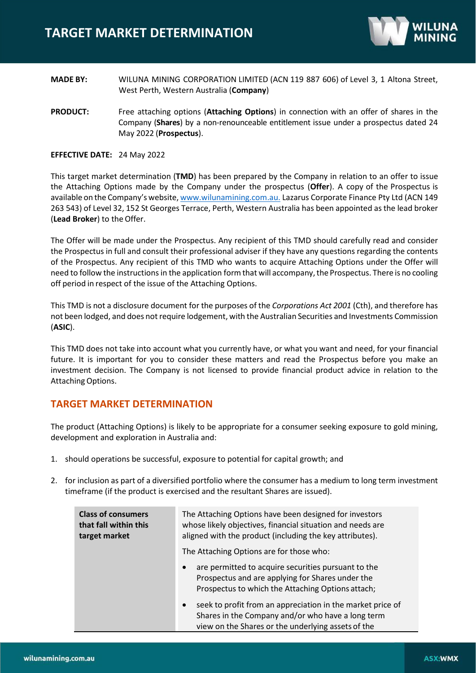

- **MADE BY:** WILUNA MINING CORPORATION LIMITED (ACN 119 887 606) of Level 3, 1 Altona Street, West Perth, Western Australia (**Company**)
- **PRODUCT:** Free attaching options (**Attaching Options**) in connection with an offer of shares in the Company (**Shares**) by a non-renounceable entitlement issue under a prospectus dated 24 May 2022 (**Prospectus**).

#### **EFFECTIVE DATE:** 24 May 2022

This target market determination (**TMD**) has been prepared by the Company in relation to an offer to issue the Attaching Options made by the Company under the prospectus (**Offer**). A copy of the Prospectus is available on the Company's website, [www.wilunamining.com.au.](http://www.wilunamining.com.au./) Lazarus Corporate Finance Pty Ltd (ACN 149 263 543) of Level 32, 152 St Georges Terrace, Perth, Western Australia has been appointed as the lead broker (**Lead Broker**) to the Offer.

The Offer will be made under the Prospectus. Any recipient of this TMD should carefully read and consider the Prospectus in full and consult their professional adviser if they have any questions regarding the contents of the Prospectus. Any recipient of this TMD who wants to acquire Attaching Options under the Offer will need to follow the instructions in the application form that will accompany, the Prospectus. There is no cooling off period in respect of the issue of the Attaching Options.

This TMD is not a disclosure document for the purposes of the *Corporations Act 2001* (Cth), and therefore has not been lodged, and does not require lodgement, with the Australian Securities and Investments Commission (**ASIC**).

This TMD does not take into account what you currently have, or what you want and need, for your financial future. It is important for you to consider these matters and read the Prospectus before you make an investment decision. The Company is not licensed to provide financial product advice in relation to the Attaching Options.

### **TARGET MARKET DETERMINATION**

The product (Attaching Options) is likely to be appropriate for a consumer seeking exposure to gold mining, development and exploration in Australia and:

- 1. should operations be successful, exposure to potential for capital growth; and
- 2. for inclusion as part of a diversified portfolio where the consumer has a medium to long term investment timeframe (if the product is exercised and the resultant Shares are issued).

| <b>Class of consumers</b><br>that fall within this<br>target market | The Attaching Options have been designed for investors<br>whose likely objectives, financial situation and needs are<br>aligned with the product (including the key attributes).   |
|---------------------------------------------------------------------|------------------------------------------------------------------------------------------------------------------------------------------------------------------------------------|
|                                                                     | The Attaching Options are for those who:                                                                                                                                           |
|                                                                     | are permitted to acquire securities pursuant to the<br>$\bullet$<br>Prospectus and are applying for Shares under the<br>Prospectus to which the Attaching Options attach;          |
|                                                                     | seek to profit from an appreciation in the market price of<br>$\bullet$<br>Shares in the Company and/or who have a long term<br>view on the Shares or the underlying assets of the |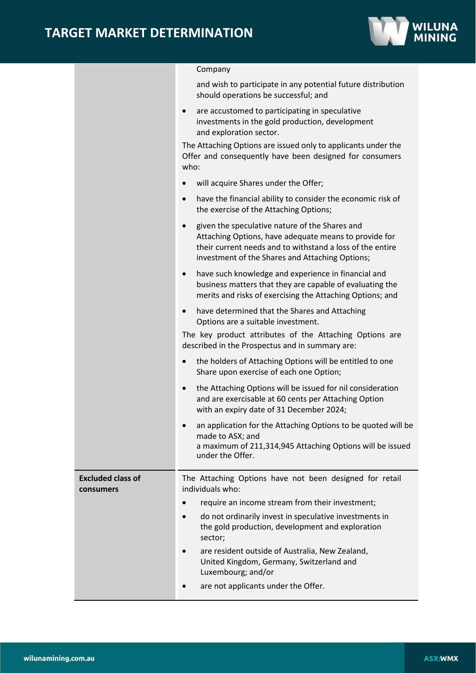

### Company

|                                       | and wish to participate in any potential future distribution<br>should operations be successful; and                                                                                                                                 |
|---------------------------------------|--------------------------------------------------------------------------------------------------------------------------------------------------------------------------------------------------------------------------------------|
|                                       | are accustomed to participating in speculative<br>$\bullet$<br>investments in the gold production, development<br>and exploration sector.                                                                                            |
|                                       | The Attaching Options are issued only to applicants under the<br>Offer and consequently have been designed for consumers<br>who:                                                                                                     |
|                                       | will acquire Shares under the Offer;                                                                                                                                                                                                 |
|                                       | have the financial ability to consider the economic risk of<br>$\bullet$<br>the exercise of the Attaching Options;                                                                                                                   |
|                                       | given the speculative nature of the Shares and<br>$\bullet$<br>Attaching Options, have adequate means to provide for<br>their current needs and to withstand a loss of the entire<br>investment of the Shares and Attaching Options; |
|                                       | have such knowledge and experience in financial and<br>$\bullet$<br>business matters that they are capable of evaluating the<br>merits and risks of exercising the Attaching Options; and                                            |
|                                       | have determined that the Shares and Attaching<br>$\bullet$<br>Options are a suitable investment.                                                                                                                                     |
|                                       | The key product attributes of the Attaching Options are<br>described in the Prospectus and in summary are:                                                                                                                           |
|                                       | the holders of Attaching Options will be entitled to one<br>$\bullet$<br>Share upon exercise of each one Option;                                                                                                                     |
|                                       | the Attaching Options will be issued for nil consideration<br>$\bullet$<br>and are exercisable at 60 cents per Attaching Option<br>with an expiry date of 31 December 2024;                                                          |
|                                       | an application for the Attaching Options to be quoted will be<br>made to ASX; and<br>a maximum of 211,314,945 Attaching Options will be issued<br>under the Offer.                                                                   |
| <b>Excluded class of</b><br>consumers | The Attaching Options have not been designed for retail<br>individuals who:                                                                                                                                                          |
|                                       | require an income stream from their investment;                                                                                                                                                                                      |
|                                       | do not ordinarily invest in speculative investments in<br>the gold production, development and exploration<br>sector;                                                                                                                |
|                                       | are resident outside of Australia, New Zealand,<br>United Kingdom, Germany, Switzerland and<br>Luxembourg; and/or                                                                                                                    |
|                                       | are not applicants under the Offer.                                                                                                                                                                                                  |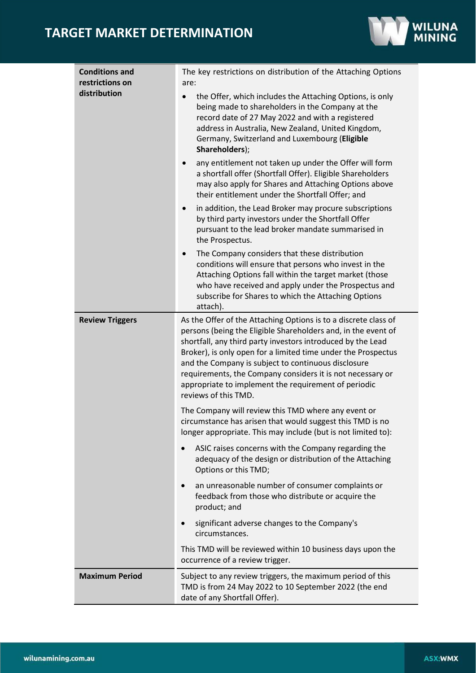# **TARGET MARKET DETERMINATION**



| <b>Conditions and</b><br>restrictions on | The key restrictions on distribution of the Attaching Options<br>are:                                                                                                                                                                                                                                                                                                                                                                                                                                |
|------------------------------------------|------------------------------------------------------------------------------------------------------------------------------------------------------------------------------------------------------------------------------------------------------------------------------------------------------------------------------------------------------------------------------------------------------------------------------------------------------------------------------------------------------|
| distribution                             | the Offer, which includes the Attaching Options, is only<br>$\bullet$<br>being made to shareholders in the Company at the<br>record date of 27 May 2022 and with a registered<br>address in Australia, New Zealand, United Kingdom,<br>Germany, Switzerland and Luxembourg (Eligible<br>Shareholders);<br>any entitlement not taken up under the Offer will form<br>$\bullet$<br>a shortfall offer (Shortfall Offer). Eligible Shareholders<br>may also apply for Shares and Attaching Options above |
|                                          | their entitlement under the Shortfall Offer; and<br>in addition, the Lead Broker may procure subscriptions<br>by third party investors under the Shortfall Offer<br>pursuant to the lead broker mandate summarised in<br>the Prospectus.                                                                                                                                                                                                                                                             |
|                                          | The Company considers that these distribution<br>$\bullet$<br>conditions will ensure that persons who invest in the<br>Attaching Options fall within the target market (those<br>who have received and apply under the Prospectus and<br>subscribe for Shares to which the Attaching Options<br>attach).                                                                                                                                                                                             |
| <b>Review Triggers</b>                   | As the Offer of the Attaching Options is to a discrete class of<br>persons (being the Eligible Shareholders and, in the event of<br>shortfall, any third party investors introduced by the Lead<br>Broker), is only open for a limited time under the Prospectus<br>and the Company is subject to continuous disclosure<br>requirements, the Company considers it is not necessary or<br>appropriate to implement the requirement of periodic<br>reviews of this TMD.                                |
|                                          | The Company will review this TMD where any event or<br>circumstance has arisen that would suggest this TMD is no<br>longer appropriate. This may include (but is not limited to):                                                                                                                                                                                                                                                                                                                    |
|                                          | ASIC raises concerns with the Company regarding the<br>adequacy of the design or distribution of the Attaching<br>Options or this TMD;                                                                                                                                                                                                                                                                                                                                                               |
|                                          | an unreasonable number of consumer complaints or<br>feedback from those who distribute or acquire the<br>product; and                                                                                                                                                                                                                                                                                                                                                                                |
|                                          | significant adverse changes to the Company's<br>circumstances.                                                                                                                                                                                                                                                                                                                                                                                                                                       |
|                                          | This TMD will be reviewed within 10 business days upon the<br>occurrence of a review trigger.                                                                                                                                                                                                                                                                                                                                                                                                        |
| <b>Maximum Period</b>                    | Subject to any review triggers, the maximum period of this<br>TMD is from 24 May 2022 to 10 September 2022 (the end<br>date of any Shortfall Offer).                                                                                                                                                                                                                                                                                                                                                 |